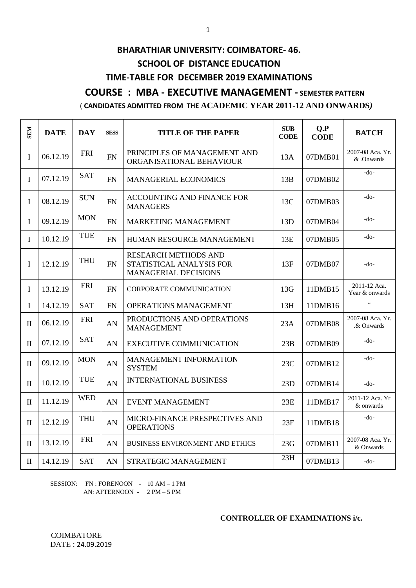# **BHARATHIAR UNIVERSITY: COIMBATORE- 46. SCHOOL OF DISTANCE EDUCATION TIME-TABLE FOR DECEMBER 2019 EXAMINATIONS COURSE : MBA - EXECUTIVE MANAGEMENT - SEMESTER PATTERN**

# ( **CANDIDATES ADMITTED FROM THE ACADEMIC YEAR 2011-12 AND ONWARDS***)*

| <b>SEM</b>   | <b>DATE</b> | <b>DAY</b> | <b>SESS</b> | <b>TITLE OF THE PAPER</b>                                                | <b>SUB</b><br><b>CODE</b> | Q.P<br><b>CODE</b> | <b>BATCH</b>                   |
|--------------|-------------|------------|-------------|--------------------------------------------------------------------------|---------------------------|--------------------|--------------------------------|
| $\mathbf I$  | 06.12.19    | <b>FRI</b> | <b>FN</b>   | PRINCIPLES OF MANAGEMENT AND<br>ORGANISATIONAL BEHAVIOUR                 | 13A                       | 07DMB01            | 2007-08 Aca. Yr.<br>& .Onwards |
| $\mathbf I$  | 07.12.19    | <b>SAT</b> | <b>FN</b>   | <b>MANAGERIAL ECONOMICS</b>                                              | 13B                       | 07DMB02            | $-do-$                         |
| $\mathbf I$  | 08.12.19    | <b>SUN</b> | <b>FN</b>   | ACCOUNTING AND FINANCE FOR<br><b>MANAGERS</b>                            | 13C                       | 07DMB03            | -do-                           |
| $\mathbf I$  | 09.12.19    | <b>MON</b> | <b>FN</b>   | MARKETING MANAGEMENT                                                     | 13D                       | 07DMB04            | $-do-$                         |
| $\mathbf I$  | 10.12.19    | <b>TUE</b> | <b>FN</b>   | HUMAN RESOURCE MANAGEMENT                                                | 13E                       | 07DMB05            | -do-                           |
| $\mathbf I$  | 12.12.19    | <b>THU</b> | <b>FN</b>   | RESEARCH METHODS AND<br>STATISTICAL ANALYSIS FOR<br>MANAGERIAL DECISIONS | 13F                       | 07DMB07            | $-do-$                         |
| $\mathbf I$  | 13.12.19    | <b>FRI</b> | <b>FN</b>   | <b>CORPORATE COMMUNICATION</b>                                           | 13G                       | 11DMB15            | 2011-12 Aca.<br>Year & onwards |
| $\mathbf I$  | 14.12.19    | <b>SAT</b> | FN          | OPERATIONS MANAGEMENT                                                    | 13H                       | 11DMB16            | $\epsilon$                     |
| $\mathbf{I}$ | 06.12.19    | <b>FRI</b> | AN          | PRODUCTIONS AND OPERATIONS<br><b>MANAGEMENT</b>                          | 23A                       | 07DMB08            | 2007-08 Aca. Yr.<br>.& Onwards |
| $\mathbf{I}$ | 07.12.19    | <b>SAT</b> | AN          | <b>EXECUTIVE COMMUNICATION</b>                                           | 23B                       | 07DMB09            | -do-                           |
| $\mathbf{I}$ | 09.12.19    | <b>MON</b> | AN          | MANAGEMENT INFORMATION<br><b>SYSTEM</b>                                  | 23C                       | 07DMB12            | -do-                           |
| $\mathbf{I}$ | 10.12.19    | <b>TUE</b> | AN          | <b>INTERNATIONAL BUSINESS</b>                                            | 23D                       | 07DMB14            | $-do-$                         |
| $\mathbf{I}$ | 11.12.19    | <b>WED</b> | AN          | <b>EVENT MANAGEMENT</b>                                                  | 23E                       | 11DMB17            | 2011-12 Aca. Yr<br>& onwards   |
| $\mathbf{I}$ | 12.12.19    | <b>THU</b> | AN          | MICRO-FINANCE PRESPECTIVES AND<br><b>OPERATIONS</b>                      | 23F                       | 11DMB18            | -do-                           |
| $\mathbf{I}$ | 13.12.19    | <b>FRI</b> | AN          | <b>BUSINESS ENVIRONMENT AND ETHICS</b>                                   | 23G                       | 07DMB11            | 2007-08 Aca. Yr.<br>& Onwards  |
| $\mathbf{I}$ | 14.12.19    | <b>SAT</b> | AN          | STRATEGIC MANAGEMENT                                                     | 23H                       | 07DMB13            | $-do-$                         |

SESSION: FN : FORENOON - 10 AM - 1 PM AN: AFTERNOON - 2 PM – 5 PM

### **CONTROLLER OF EXAMINATIONS i/c.**

**COIMBATORE** DATE : 24.09.2019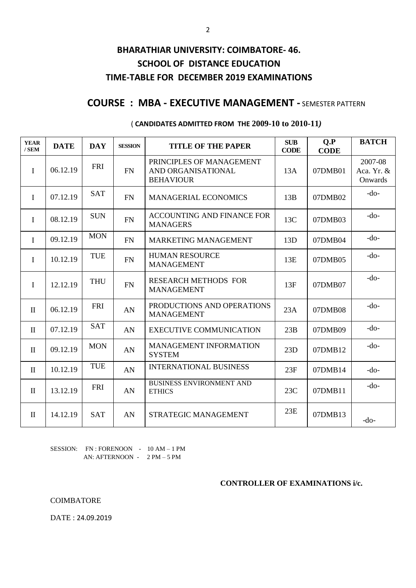## **BHARATHIAR UNIVERSITY: COIMBATORE- 46. SCHOOL OF DISTANCE EDUCATION TIME-TABLE FOR DECEMBER 2019 EXAMINATIONS**

### **COURSE : MBA - EXECUTIVE MANAGEMENT -** SEMESTER PATTERN

| <b>YEAR</b><br>$/$ SEM | <b>DATE</b> | <b>DAY</b> | <b>SESSION</b> | <b>TITLE OF THE PAPER</b>                                          | <b>SUB</b><br><b>CODE</b> | Q.P<br><b>CODE</b> | <b>BATCH</b>                     |
|------------------------|-------------|------------|----------------|--------------------------------------------------------------------|---------------------------|--------------------|----------------------------------|
| $\mathbf{I}$           | 06.12.19    | <b>FRI</b> | <b>FN</b>      | PRINCIPLES OF MANAGEMENT<br>AND ORGANISATIONAL<br><b>BEHAVIOUR</b> | 13A                       | 07DMB01            | 2007-08<br>Aca. Yr. &<br>Onwards |
| $\mathbf I$            | 07.12.19    | <b>SAT</b> | FN             | <b>MANAGERIAL ECONOMICS</b>                                        | 13B                       | 07DMB02            | $-do-$                           |
| $\mathbf I$            | 08.12.19    | <b>SUN</b> | FN             | ACCOUNTING AND FINANCE FOR<br><b>MANAGERS</b>                      | 13C                       | 07DMB03            | $-do-$                           |
| $\mathbf{I}$           | 09.12.19    | <b>MON</b> | <b>FN</b>      | <b>MARKETING MANAGEMENT</b>                                        | 13D                       | 07DMB04            | $-do-$                           |
| I                      | 10.12.19    | <b>TUE</b> | FN             | <b>HUMAN RESOURCE</b><br><b>MANAGEMENT</b>                         | 13E                       | 07DMB05            | $-do-$                           |
| I                      | 12.12.19    | <b>THU</b> | FN             | <b>RESEARCH METHODS FOR</b><br><b>MANAGEMENT</b>                   | 13F                       | 07DMB07            | $-do-$                           |
| $\mathbf{I}$           | 06.12.19    | <b>FRI</b> | AN             | PRODUCTIONS AND OPERATIONS<br><b>MANAGEMENT</b>                    | 23A                       | 07DMB08            | $-do-$                           |
| $\mathbf{I}$           | 07.12.19    | <b>SAT</b> | AN             | <b>EXECUTIVE COMMUNICATION</b>                                     | 23B                       | 07DMB09            | $-do-$                           |
| $\mathbf{I}$           | 09.12.19    | <b>MON</b> | AN             | <b>MANAGEMENT INFORMATION</b><br><b>SYSTEM</b>                     | 23D                       | 07DMB12            | $-do-$                           |
| $\mathbf{I}$           | 10.12.19    | <b>TUE</b> | AN             | <b>INTERNATIONAL BUSINESS</b>                                      | 23F                       | 07DMB14            | $-do-$                           |
| $\mathbf{I}$           | 13.12.19    | <b>FRI</b> | AN             | <b>BUSINESS ENVIRONMENT AND</b><br><b>ETHICS</b>                   | 23C                       | 07DMB11            | $-do-$                           |
| $\mathbf{I}$           | 14.12.19    | <b>SAT</b> | AN             | STRATEGIC MANAGEMENT                                               | 23E                       | 07DMB13            | $-do-$                           |

#### ( **CANDIDATES ADMITTED FROM THE 2009-10 to 2010-11***)*

SESSION: FN : FORENOON - 10 AM - 1 PM AN: AFTERNOON - 2 PM – 5 PM

#### **CONTROLLER OF EXAMINATIONS i/c.**

COIMBATORE

DATE : 24.09.2019